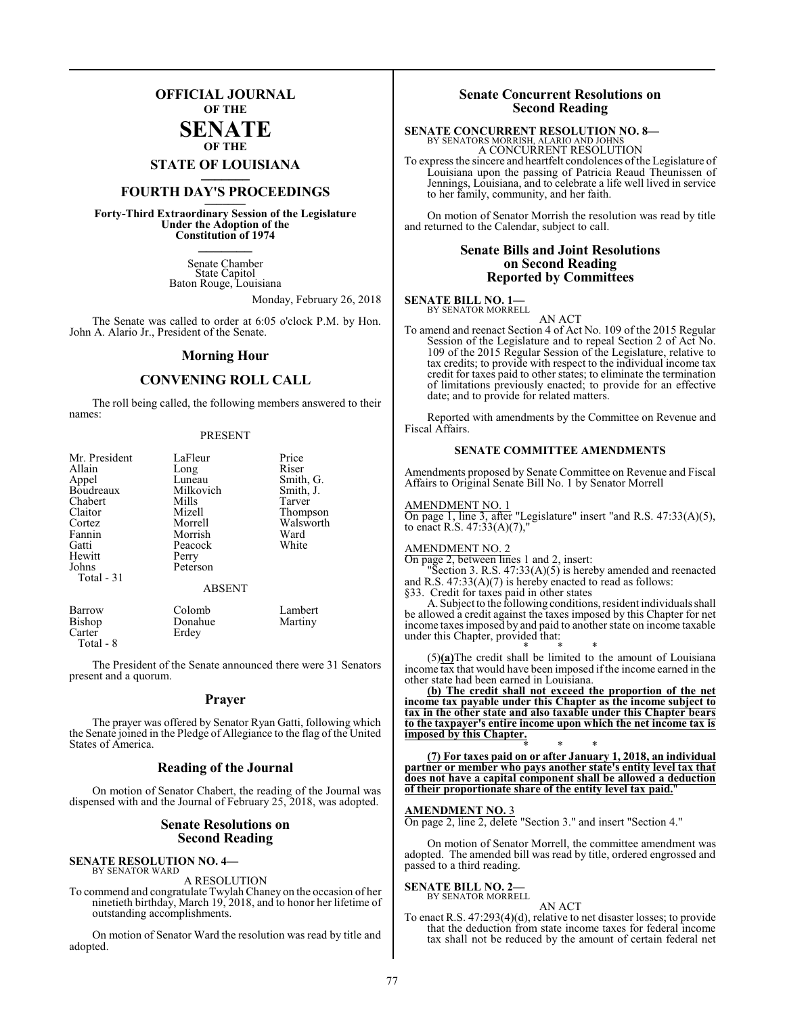# **OFFICIAL JOURNAL OF THE**

# **SENATE OF THE**

**STATE OF LOUISIANA \_\_\_\_\_\_\_**

# **FOURTH DAY'S PROCEEDINGS \_\_\_\_\_\_\_**

**Forty-Third Extraordinary Session of the Legislature Under the Adoption of the Constitution of 1974 \_\_\_\_\_\_\_**

> Senate Chamber State Capitol Baton Rouge, Louisiana

> > Monday, February 26, 2018

The Senate was called to order at 6:05 o'clock P.M. by Hon. John A. Alario Jr., President of the Senate.

#### **Morning Hour**

# **CONVENING ROLL CALL**

The roll being called, the following members answered to their names:

#### PRESENT

| Mr. President<br>Allain<br>Appel<br>Boudreaux<br>Chabert<br>Claitor<br>Cortez<br>Fannin<br>Gatti | LaFleur<br>Long<br>Luneau<br>Milkovich<br>Mills<br>Mizell<br>Morrell<br>Morrish<br>Peacock | Price<br>Riser<br>Smith, G.<br>Smith, J.<br>Tarver<br>Thompson<br>Walsworth<br>Ward<br>White |
|--------------------------------------------------------------------------------------------------|--------------------------------------------------------------------------------------------|----------------------------------------------------------------------------------------------|
| Hewitt<br>Johns<br>Total - 31                                                                    | Perry<br>Peterson<br><b>ABSENT</b>                                                         |                                                                                              |
| <b>Barrow</b><br><b>Bishop</b><br>Carter                                                         | Colomb<br>Donahue<br>Erdev                                                                 | Lambert<br>Martiny                                                                           |

The President of the Senate announced there were 31 Senators present and a quorum.

#### **Prayer**

The prayer was offered by Senator Ryan Gatti, following which the Senate joined in the Pledge of Allegiance to the flag of the United States of America.

#### **Reading of the Journal**

On motion of Senator Chabert, the reading of the Journal was dispensed with and the Journal of February 25, 2018, was adopted.

#### **Senate Resolutions on Second Reading**

#### **SENATE RESOLUTION NO. 4—** BY SENATOR WARD

Carter Total - 8

A RESOLUTION

To commend and congratulate Twylah Chaney on the occasion of her ninetieth birthday, March 19, 2018, and to honor her lifetime of outstanding accomplishments.

On motion of Senator Ward the resolution was read by title and adopted.

### **Senate Concurrent Resolutions on Second Reading**

# **SENATE CONCURRENT RESOLUTION NO. 8—** BY SENATORS MORRISH, ALARIO AND JOHNS

A CONCURRENT RESOLUTION

To express the sincere and heartfelt condolences ofthe Legislature of Louisiana upon the passing of Patricia Reaud Theunissen of Jennings, Louisiana, and to celebrate a life well lived in service to her family, community, and her faith.

On motion of Senator Morrish the resolution was read by title and returned to the Calendar, subject to call.

### **Senate Bills and Joint Resolutions on Second Reading Reported by Committees**

**SENATE BILL NO. 1—** BY SENATOR MORRELL

AN ACT

To amend and reenact Section 4 of Act No. 109 of the 2015 Regular Session of the Legislature and to repeal Section 2 of Act No. 109 of the 2015 Regular Session of the Legislature, relative to tax credits; to provide with respect to the individual income tax credit for taxes paid to other states; to eliminate the termination of limitations previously enacted; to provide for an effective date; and to provide for related matters.

Reported with amendments by the Committee on Revenue and Fiscal Affairs.

### **SENATE COMMITTEE AMENDMENTS**

Amendments proposed by Senate Committee on Revenue and Fiscal Affairs to Original Senate Bill No. 1 by Senator Morrell

#### AMENDMENT NO. 1

On page 1, line 3, after "Legislature" insert "and R.S. 47:33(A)(5), to enact R.S.  $47:33(A)(7)$ ,

#### AMENDMENT NO. 2

On page 2, between lines 1 and 2, insert:

"Section 3. R.S. 47:33(A)(5) is hereby amended and reenacted and R.S. 47:33(A)(7) is hereby enacted to read as follows: §33. Credit for taxes paid in other states

A. Subject to the following conditions, resident individuals shall be allowed a credit against the taxes imposed by this Chapter for net income taxesimposed by and paid to another state on income taxable under this Chapter, provided that:

\* \* \* (5)**(a)**The credit shall be limited to the amount of Louisiana income tax that would have been imposed if the income earned in the other state had been earned in Louisiana.

**(b) The credit shall not exceed the proportion of the net income tax payable under this Chapter as the income subject to tax in the other state and also taxable under this Chapter bears to the taxpayer's entire income upon which the net income tax is imposed by this Chapter.**

\* \* \* **(7) For taxes paid on or after January 1, 2018, an individual partner or member who pays another state's entity level tax that does not have a capital component shall be allowed a deduction of their proportionate share of the entity level tax paid.**"

#### **AMENDMENT NO.** 3

On page 2, line 2, delete "Section 3." and insert "Section 4."

On motion of Senator Morrell, the committee amendment was adopted. The amended bill was read by title, ordered engrossed and passed to a third reading.

# **SENATE BILL NO. 2—**<br>BY SENATOR MORRELL

AN ACT

To enact R.S. 47:293(4)(d), relative to net disaster losses; to provide that the deduction from state income taxes for federal income tax shall not be reduced by the amount of certain federal net